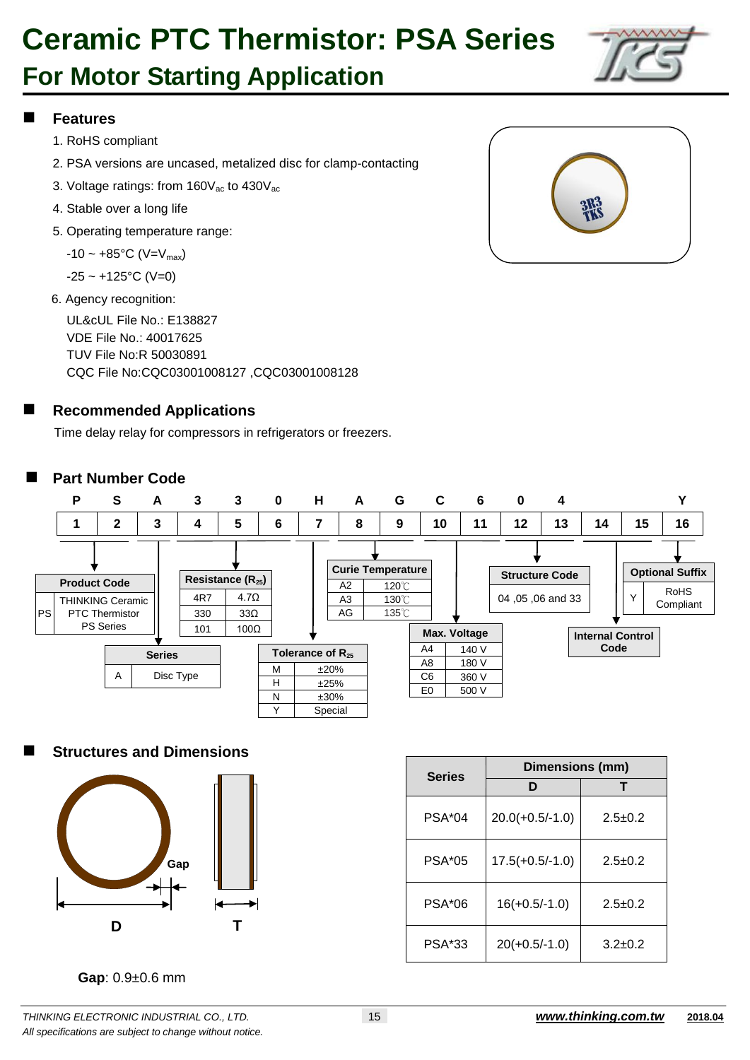## **For Motor Starting Application**

### **Features**

- 1. RoHS compliant
- 2. PSA versions are uncased, metalized disc for clamp-contacting
- 3. Voltage ratings: from  $160V_{ac}$  to  $430V_{ac}$
- 4. Stable over a long life
- 5. Operating temperature range:

 $-10 \sim +85$ °C (V=V<sub>max</sub>)

 $-25 \sim +125$ °C (V=0)

6. Agency recognition:

UL&cUL File No.: E138827 VDE File No.: 40017625 TUV File No:R 50030891 CQC File No:CQC03001008127 ,CQC03001008128

### **Recommended Applications**

Time delay relay for compressors in refrigerators or freezers.

### **Part Number Code**



### **Structures and Dimensions**



| <b>Series</b> | Dimensions (mm)   |               |  |  |  |
|---------------|-------------------|---------------|--|--|--|
|               | D                 |               |  |  |  |
| $PSA*04$      | $20.0(+0.5/-1.0)$ | $2.5 \pm 0.2$ |  |  |  |
| <b>PSA*05</b> | $17.5(+0.5/-1.0)$ | $2.5 + 0.2$   |  |  |  |
| <b>PSA*06</b> | $16(+0.5/-1.0)$   | $2.5 + 0.2$   |  |  |  |
| <b>PSA*33</b> | $20(+0.5/-1.0)$   | $3.2 \pm 0.2$ |  |  |  |

**Gap**: 0.9±0.6 mm



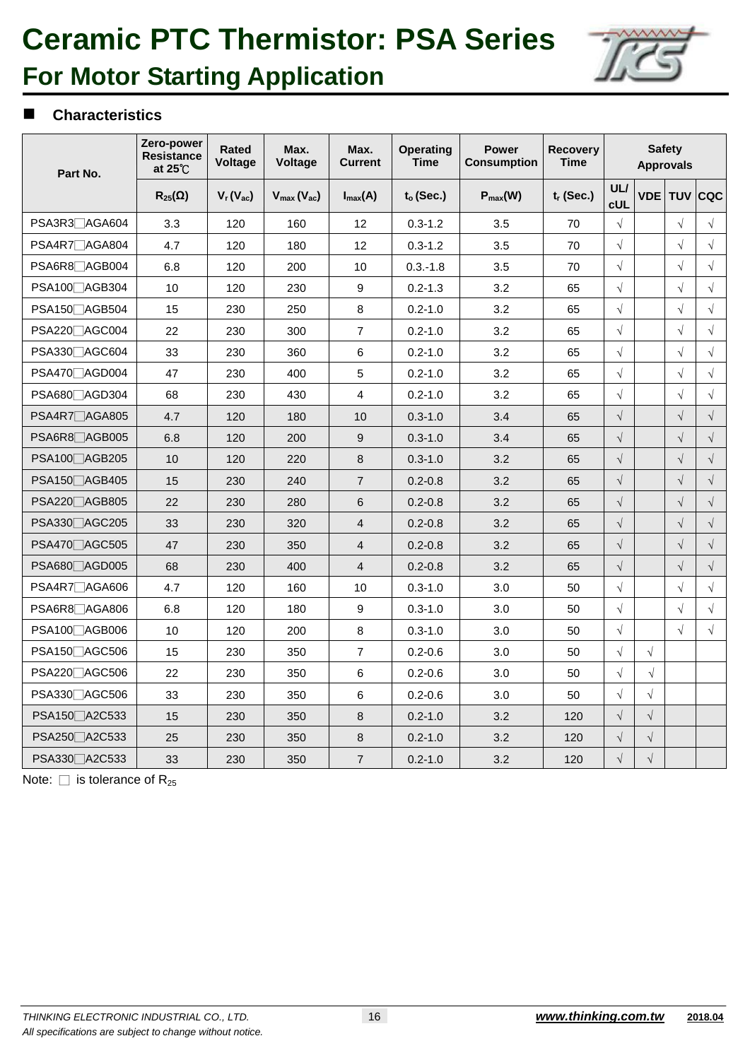

## **For Motor Starting Application**

#### **Characteristics**

| Part No.                   | Zero-power<br><b>Resistance</b><br>at 25°C | Rated<br><b>Voltage</b> | Max.<br><b>Voltage</b> | Max.<br><b>Current</b> | <b>Operating</b><br><b>Time</b> | <b>Power</b><br><b>Consumption</b> | Recovery<br><b>Time</b> |                          | <b>Safety</b><br><b>Approvals</b> |            |             |  |
|----------------------------|--------------------------------------------|-------------------------|------------------------|------------------------|---------------------------------|------------------------------------|-------------------------|--------------------------|-----------------------------------|------------|-------------|--|
|                            | $R_{25}(\Omega)$                           | $V_r(V_{ac})$           | $V_{max}(V_{ac})$      | $I_{max}(A)$           | $t_o$ (Sec.)                    | $P_{max}(W)$                       | $t_r$ (Sec.)            | <b>UL/</b><br><b>cUL</b> |                                   |            | VDE TUV CQC |  |
| PSA3R3 <sup>AGA604</sup>   | 3.3                                        | 120                     | 160                    | 12                     | $0.3 - 1.2$                     | 3.5                                | 70                      | $\sqrt{ }$               |                                   | $\sqrt{2}$ | $\sqrt{ }$  |  |
| PSA4R7□AGA804              | 4.7                                        | 120                     | 180                    | 12                     | $0.3 - 1.2$                     | 3.5                                | 70                      | $\sqrt{}$                |                                   | $\sqrt{}$  | $\sqrt{ }$  |  |
| PSA6R8□AGB004              | 6.8                                        | 120                     | 200                    | 10                     | $0.3 - 1.8$                     | 3.5                                | 70                      | $\sqrt{ }$               |                                   | $\sqrt{}$  | $\sqrt{ }$  |  |
| PSA100 AGB304              | 10                                         | 120                     | 230                    | 9                      | $0.2 - 1.3$                     | 3.2                                | 65                      | $\sqrt{}$                |                                   | $\sqrt{}$  | $\sqrt{ }$  |  |
| PSA150 <sup></sup> AGB504  | 15                                         | 230                     | 250                    | 8                      | $0.2 - 1.0$                     | 3.2                                | 65                      | $\sqrt{ }$               |                                   | $\sqrt{}$  | $\sqrt{ }$  |  |
| PSA220 AGC004              | 22                                         | 230                     | 300                    | $\overline{7}$         | $0.2 - 1.0$                     | 3.2                                | 65                      | $\sqrt{}$                |                                   | $\sqrt{}$  | $\sqrt{}$   |  |
| PSA330 <sub></sub> △AGC604 | 33                                         | 230                     | 360                    | 6                      | $0.2 - 1.0$                     | 3.2                                | 65                      | $\sqrt{ }$               |                                   | $\sqrt{}$  | $\sqrt{ }$  |  |
| PSA470 <sup>2</sup> AGD004 | 47                                         | 230                     | 400                    | 5                      | $0.2 - 1.0$                     | 3.2                                | 65                      | $\sqrt{}$                |                                   | $\sqrt{}$  | $\sqrt{ }$  |  |
| PSA680 <sup>AGD304</sup>   | 68                                         | 230                     | 430                    | 4                      | $0.2 - 1.0$                     | 3.2                                | 65                      | $\sqrt{ }$               |                                   | $\sqrt{ }$ | $\sqrt{ }$  |  |
| PSA4R7 AGA805              | 4.7                                        | 120                     | 180                    | 10                     | $0.3 - 1.0$                     | 3.4                                | 65                      | $\sqrt{ }$               |                                   | $\sqrt{ }$ | $\sqrt{}$   |  |
| PSA6R8 <sup>A</sup> AGB005 | 6.8                                        | 120                     | 200                    | 9                      | $0.3 - 1.0$                     | 3.4                                | 65                      | $\sqrt{}$                |                                   | $\sqrt{ }$ | $\sqrt{ }$  |  |
| PSA100 <sup></sup> △AGB205 | 10                                         | 120                     | 220                    | 8                      | $0.3 - 1.0$                     | 3.2                                | 65                      | $\sqrt{}$                |                                   | $\sqrt{ }$ | $\sqrt{ }$  |  |
| PSA150 AGB405              | 15                                         | 230                     | 240                    | $\overline{7}$         | $0.2 - 0.8$                     | 3.2                                | 65                      | $\sqrt{}$                |                                   | $\sqrt{ }$ | $\sqrt{}$   |  |
| PSA220 AGB805              | 22                                         | 230                     | 280                    | 6                      | $0.2 - 0.8$                     | 3.2                                | 65                      | $\sqrt{}$                |                                   | $\sqrt{ }$ | $\sqrt{ }$  |  |
| PSA330□AGC205              | 33                                         | 230                     | 320                    | $\overline{4}$         | $0.2 - 0.8$                     | 3.2                                | 65                      | $\sqrt{}$                |                                   | $\sqrt{}$  | $\sqrt{ }$  |  |
| PSA470 <sup>AGC505</sup>   | 47                                         | 230                     | 350                    | $\overline{4}$         | $0.2 - 0.8$                     | 3.2                                | 65                      | $\sqrt{}$                |                                   | $\sqrt{}$  | $\sqrt{ }$  |  |
| PSA680 <sup>AGD005</sup>   | 68                                         | 230                     | 400                    | $\overline{4}$         | $0.2 - 0.8$                     | 3.2                                | 65                      | $\sqrt{}$                |                                   | $\sqrt{}$  | $\sqrt{}$   |  |
| PSA4R7□AGA606              | 4.7                                        | 120                     | 160                    | 10                     | $0.3 - 1.0$                     | 3.0                                | 50                      | $\sqrt{}$                |                                   | $\sqrt{ }$ | $\sqrt{ }$  |  |
| PSA6R8□AGA806              | 6.8                                        | 120                     | 180                    | 9                      | $0.3 - 1.0$                     | 3.0                                | 50                      | $\sqrt{ }$               |                                   | $\sqrt{}$  | $\sqrt{2}$  |  |
| PSA100 AGB006              | 10                                         | 120                     | 200                    | 8                      | $0.3 - 1.0$                     | 3.0                                | 50                      | $\sqrt{}$                |                                   | $\sqrt{ }$ | $\sqrt{ }$  |  |
| PSA150 AGC506              | 15                                         | 230                     | 350                    | $\overline{7}$         | $0.2 - 0.6$                     | 3.0                                | 50                      | $\sqrt{}$                | $\sqrt{}$                         |            |             |  |
| PSA220 AGC506              | 22                                         | 230                     | 350                    | 6                      | $0.2 - 0.6$                     | 3.0                                | 50                      | $\sqrt{}$                | $\sqrt{ }$                        |            |             |  |
| PSA330 <sup>2</sup> AGC506 | 33                                         | 230                     | 350                    | 6                      | $0.2 - 0.6$                     | 3.0                                | 50                      | $\sqrt{}$                | $\sqrt{}$                         |            |             |  |
| PSA150 <sup>2</sup> A2C533 | 15                                         | 230                     | 350                    | 8                      | $0.2 - 1.0$                     | 3.2                                | 120                     | $\sqrt{}$                | $\sqrt{}$                         |            |             |  |
| PSA250 A2C533              | 25                                         | 230                     | 350                    | 8                      | $0.2 - 1.0$                     | 3.2                                | 120                     | $\sqrt{}$                | $\sqrt{}$                         |            |             |  |
| PSA330 <sup>2</sup> A2C533 | 33                                         | 230                     | 350                    | $\overline{7}$         | $0.2 - 1.0$                     | 3.2                                | 120                     | $\sqrt{}$                | $\sqrt{}$                         |            |             |  |

Note:  $\square$  is tolerance of R<sub>25</sub>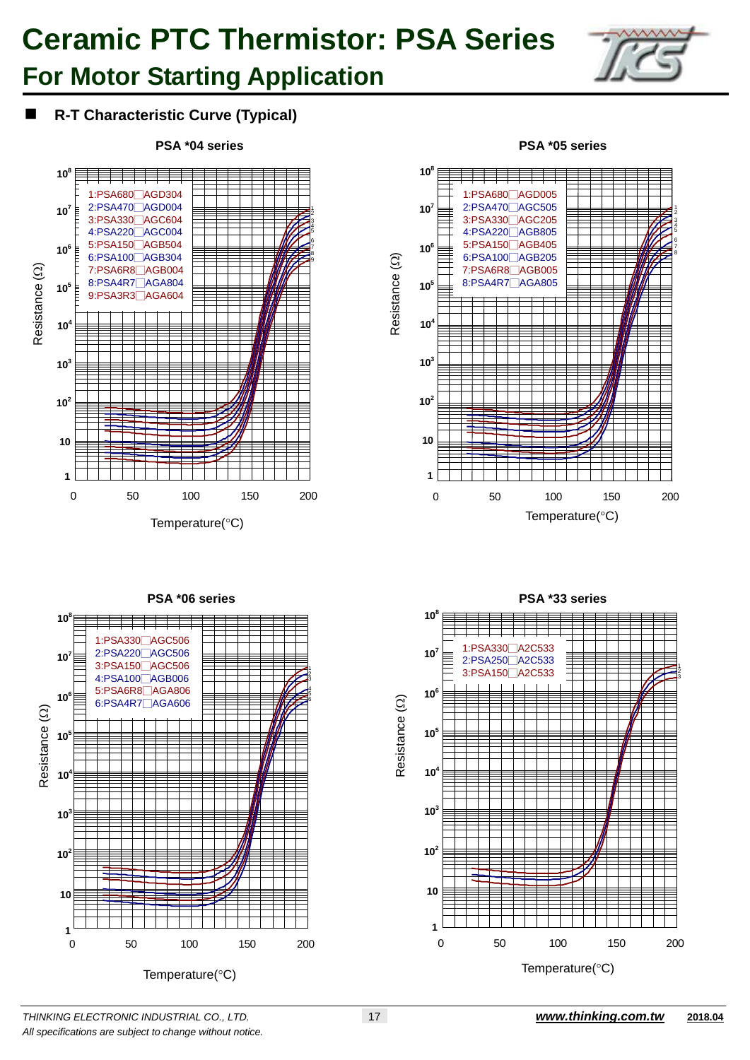## **For Motor Starting Application**



### **R-T Characteristic Curve (Typical)**









*THINKING ELECTRONIC INDUSTRIAL CO., LTD.* 17*www.thinking.com.tw* **2018.04** *All specifications are subject to change without notice.*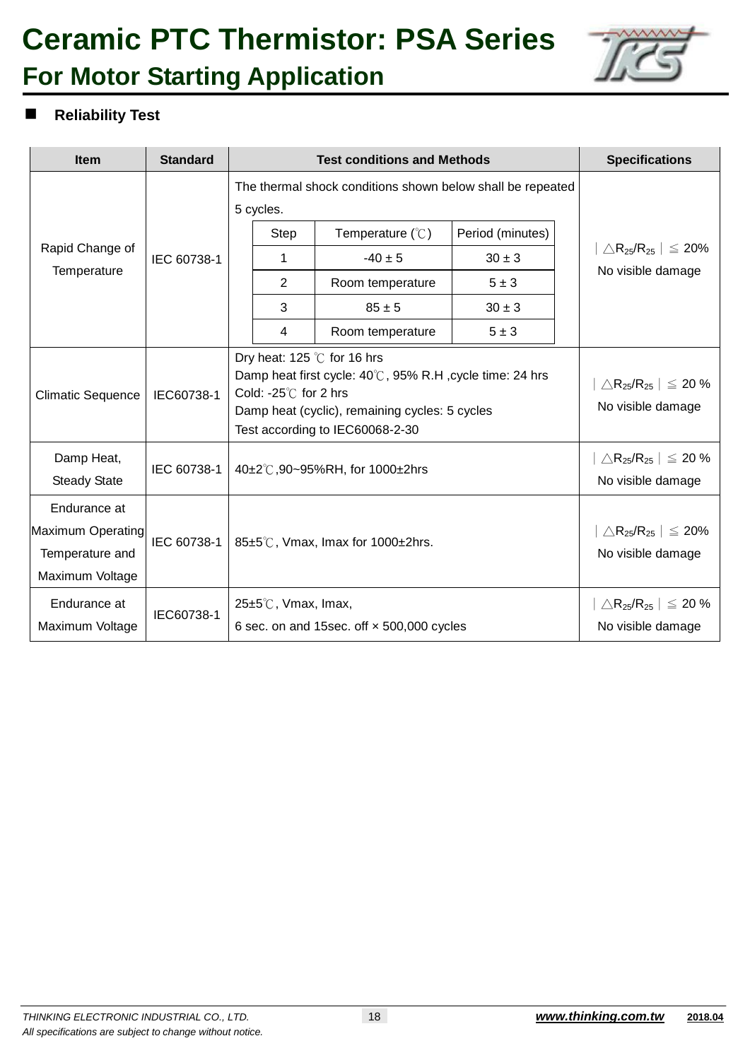## **Ceramic PTC Thermistor: PSA Series For Motor Starting Application**



### **Reliability Test**

| <b>Item</b>                                                             | <b>Standard</b> |                                                                                                                                                                                                                          | <b>Test conditions and Methods</b>                         |                                                                              |                                                                                 |                                                                                 | <b>Specifications</b>                                                           |  |  |
|-------------------------------------------------------------------------|-----------------|--------------------------------------------------------------------------------------------------------------------------------------------------------------------------------------------------------------------------|------------------------------------------------------------|------------------------------------------------------------------------------|---------------------------------------------------------------------------------|---------------------------------------------------------------------------------|---------------------------------------------------------------------------------|--|--|
|                                                                         |                 |                                                                                                                                                                                                                          | The thermal shock conditions shown below shall be repeated |                                                                              |                                                                                 |                                                                                 |                                                                                 |  |  |
| Rapid Change of<br>Temperature                                          | IEC 60738-1     |                                                                                                                                                                                                                          | 5 cycles.<br><b>Step</b><br>1<br>2<br>3                    | Temperature $(\mathcal{C})$<br>$-40 \pm 5$<br>Room temperature<br>$85 \pm 5$ | Period (minutes)<br>$30 \pm 3$<br>$5 \pm 3$<br>$30 \pm 3$                       |                                                                                 | $\triangle$ R <sub>25</sub> /R <sub>25</sub>   $\leq$ 20%<br>No visible damage  |  |  |
|                                                                         |                 |                                                                                                                                                                                                                          | 4                                                          | Room temperature                                                             | $5 \pm 3$                                                                       |                                                                                 |                                                                                 |  |  |
| <b>Climatic Sequence</b>                                                | IEC60738-1      | Dry heat: 125 $\degree$ C for 16 hrs<br>Damp heat first cycle: 40°C, 95% R.H, cycle time: 24 hrs<br>Cold: -25 $\degree$ C for 2 hrs<br>Damp heat (cyclic), remaining cycles: 5 cycles<br>Test according to IEC60068-2-30 |                                                            |                                                                              |                                                                                 |                                                                                 | $\triangle$ R <sub>25</sub> /R <sub>25</sub>   $\leq$ 20 %<br>No visible damage |  |  |
| Damp Heat,<br><b>Steady State</b>                                       | IEC 60738-1     | 40±2°C,90~95%RH, for 1000±2hrs                                                                                                                                                                                           |                                                            |                                                                              |                                                                                 | $\triangle$ R <sub>25</sub> /R <sub>25</sub>   $\leq$ 20 %<br>No visible damage |                                                                                 |  |  |
| Endurance at<br>Maximum Operating<br>Temperature and<br>Maximum Voltage | IEC 60738-1     | 85±5℃, Vmax, Imax for 1000±2hrs.                                                                                                                                                                                         |                                                            |                                                                              |                                                                                 | $\triangle$ R <sub>25</sub> /R <sub>25</sub>   $\leq$ 20%<br>No visible damage  |                                                                                 |  |  |
| Endurance at<br>Maximum Voltage                                         | IEC60738-1      | 25±5℃, Vmax, Imax,<br>6 sec. on and 15sec. off x 500,000 cycles                                                                                                                                                          |                                                            |                                                                              | $\triangle$ R <sub>25</sub> /R <sub>25</sub>   $\leq$ 20 %<br>No visible damage |                                                                                 |                                                                                 |  |  |